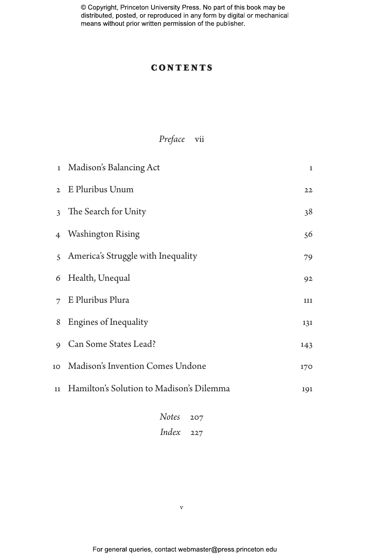## **CONTENTS**

# *Preface* vii

|              | 1 Madison's Balancing Act                | $\mathbf{1}$ |
|--------------|------------------------------------------|--------------|
|              | 2 E Pluribus Unum                        | 22           |
|              | 3 The Search for Unity                   | 38           |
|              | 4 Washington Rising                      | 56           |
|              | 5 America's Struggle with Inequality     | 79           |
|              | 6 Health, Unequal                        | 92           |
|              | 7 E Pluribus Plura                       | 111          |
|              | 8 Engines of Inequality                  | 131          |
| $\mathsf{Q}$ | Can Some States Lead?                    | 143          |
| 10           | Madison's Invention Comes Undone         | 170          |
| 11           | Hamilton's Solution to Madison's Dilemma | 191          |
|              | $N = \frac{1}{2}$                        |              |

*Notes* 207 *Index* 227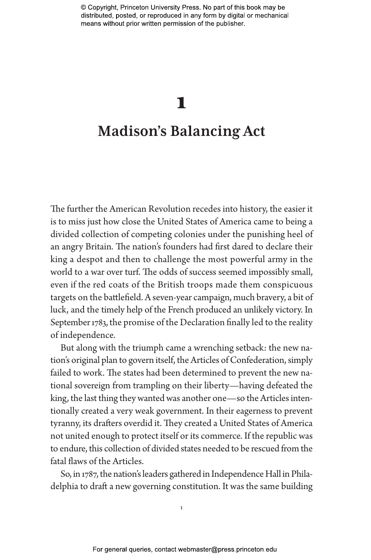# 1 **Madison's Balancing Act**

The further the American Revolution recedes into history, the easier it is to miss just how close the United States of America came to being a divided collection of competing colonies under the punishing heel of an angry Britain. The nation's founders had first dared to declare their king a despot and then to challenge the most powerful army in the world to a war over turf. The odds of success seemed impossibly small, even if the red coats of the British troops made them conspicuous targets on the battlefield. A seven-year campaign, much bravery, a bit of luck, and the timely help of the French produced an unlikely victory. In September 1783, the promise of the Declaration finally led to the reality of independence.

But along with the triumph came a wrenching setback: the new nation's original plan to govern itself, the Articles of Confederation, simply failed to work. The states had been determined to prevent the new national sovereign from trampling on their liberty—having defeated the king, the last thing they wanted was another one—so the Articles intentionally created a very weak government. In their eagerness to prevent tyranny, its drafters overdid it. They created a United States of America not united enough to protect itself or its commerce. If the republic was to endure, this collection of divided states needed to be rescued from the fatal flaws of the Articles.

So, in 1787, the nation's leaders gathered in Independence Hall in Philadelphia to draft a new governing constitution. It was the same building

1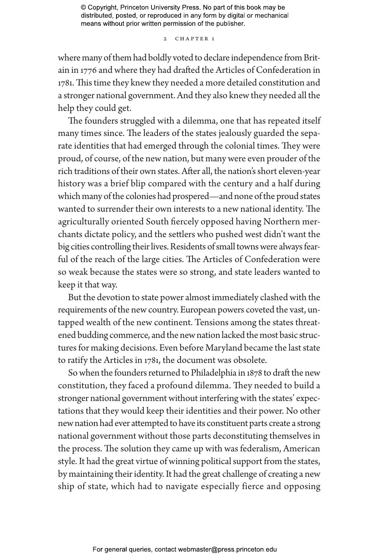2 CHAPTER 1

where many of them had boldly voted to declare independence from Britain in 1776 and where they had drafted the Articles of Confederation in 1781. This time they knew they needed a more detailed constitution and a stronger national government. And they also knew they needed all the help they could get.

The founders struggled with a dilemma, one that has repeated itself many times since. The leaders of the states jealously guarded the separate identities that had emerged through the colonial times. They were proud, of course, of the new nation, but many were even prouder of the rich traditions of their own states. After all, the nation's short eleven-year history was a brief blip compared with the century and a half during which many of the colonies had prospered—and none of the proud states wanted to surrender their own interests to a new national identity. The agriculturally oriented South fiercely opposed having Northern merchants dictate policy, and the settlers who pushed west didn't want the big cities controlling their lives. Residents of small towns were always fearful of the reach of the large cities. The Articles of Confederation were so weak because the states were so strong, and state leaders wanted to keep it that way.

But the devotion to state power almost immediately clashed with the requirements of the new country. European powers coveted the vast, untapped wealth of the new continent. Tensions among the states threatened budding commerce, and the new nation lacked the most basic structures for making decisions. Even before Maryland became the last state to ratify the Articles in 1781, the document was obsolete.

So when the founders returned to Philadelphia in 1878 to draft the new constitution, they faced a profound dilemma. They needed to build a stronger national government without interfering with the states' expectations that they would keep their identities and their power. No other new nation had ever attempted to have its constituent parts create a strong national government without those parts deconstituting themselves in the process. The solution they came up with was federalism, American style. It had the great virtue of winning political support from the states, by maintaining their identity. It had the great challenge of creating a new ship of state, which had to navigate especially fierce and opposing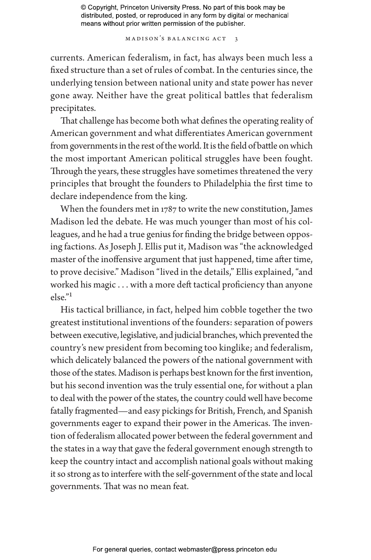MADISON'S BALANCING ACT 3

currents. American federalism, in fact, has always been much less a fixed structure than a set of rules of combat. In the centuries since, the underlying tension between national unity and state power has never gone away. Neither have the great political battles that federalism precipitates.

That challenge has become both what defines the operating reality of American government and what differentiates American government from governments in the rest of the world. It is the field of battle on which the most important American political struggles have been fought. Through the years, these struggles have sometimes threatened the very principles that brought the founders to Philadelphia the first time to declare independence from the king.

When the founders met in 1787 to write the new constitution, James Madison led the debate. He was much younger than most of his colleagues, and he had a true genius for finding the bridge between opposing factions. As Joseph J. Ellis put it, Madison was "the acknowledged master of the inoffensive argument that just happened, time after time, to prove decisive." Madison "lived in the details," Ellis explained, "and worked his magic . . . with a more deft tactical proficiency than anyone else."1

His tactical brilliance, in fact, helped him cobble together the two greatest institutional inventions of the founders: separation of powers between executive, legislative, and judicial branches, which prevented the country's new president from becoming too kinglike; and federalism, which delicately balanced the powers of the national government with those of the states. Madison is perhaps best known for the first invention, but his second invention was the truly essential one, for without a plan to deal with the power of the states, the country could well have become fatally fragmented—and easy pickings for British, French, and Spanish governments eager to expand their power in the Americas. The invention of federalism allocated power between the federal government and the states in a way that gave the federal government enough strength to keep the country intact and accomplish national goals without making it so strong as to interfere with the self-government of the state and local governments. That was no mean feat.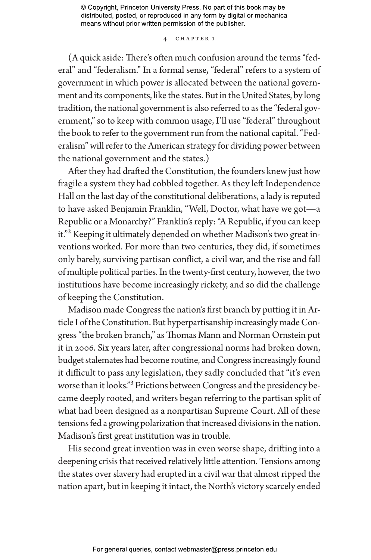#### 4 chapter 1

(A quick aside: There's often much confusion around the terms "federal" and "federalism." In a formal sense, "federal" refers to a system of government in which power is allocated between the national government and its components, like the states. But in the United States, by long tradition, the national government is also referred to as the "federal government," so to keep with common usage, I'll use "federal" throughout the book to refer to the government run from the national capital. "Federalism" will refer to the American strategy for dividing power between the national government and the states.)

After they had drafted the Constitution, the founders knew just how fragile a system they had cobbled together. As they left Independence Hall on the last day of the constitutional deliberations, a lady is reputed to have asked Benjamin Franklin, "Well, Doctor, what have we got—a Republic or a Monarchy?" Franklin's reply: "A Republic, if you can keep it."<sup>2</sup> Keeping it ultimately depended on whether Madison's two great inventions worked. For more than two centuries, they did, if sometimes only barely, surviving partisan conflict, a civil war, and the rise and fall of multiple political parties. In the twenty-first century, however, the two institutions have become increasingly rickety, and so did the challenge of keeping the Constitution.

Madison made Congress the nation's first branch by putting it in Article I of the Constitution. But hyperpartisanship increasingly made Congress "the broken branch," as Thomas Mann and Norman Ornstein put it in 2006. Six years later, after congressional norms had broken down, budget stalemates had become routine, and Congress increasingly found it difficult to pass any legislation, they sadly concluded that "it's even worse than it looks."<sup>3</sup> Frictions between Congress and the presidency became deeply rooted, and writers began referring to the partisan split of what had been designed as a nonpartisan Supreme Court. All of these tensions fed a growing polarization that increased divisions in the nation. Madison's first great institution was in trouble.

His second great invention was in even worse shape, drifting into a deepening crisis that received relatively little attention. Tensions among the states over slavery had erupted in a civil war that almost ripped the nation apart, but in keeping it intact, the North's victory scarcely ended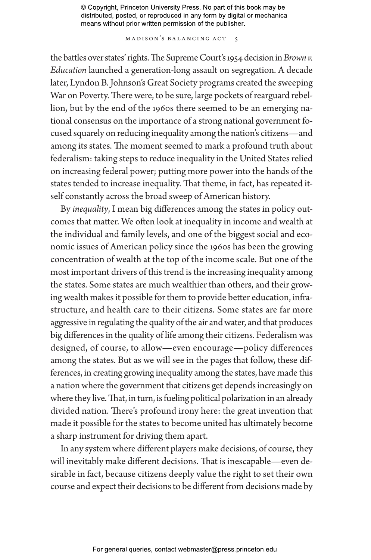MADISON'S BALANCING ACT 5

the battles over states' rights. The Supreme Court's 1954 decision in *Brown v. Education* launched a generation-long assault on segregation. A decade later, Lyndon B. Johnson's Great Society programs created the sweeping War on Poverty. There were, to be sure, large pockets of rearguard rebellion, but by the end of the 1960s there seemed to be an emerging national consensus on the importance of a strong national government focused squarely on reducing inequality among the nation's citizens—and among its states. The moment seemed to mark a profound truth about federalism: taking steps to reduce inequality in the United States relied on increasing federal power; putting more power into the hands of the states tended to increase inequality. That theme, in fact, has repeated itself constantly across the broad sweep of American history.

By *inequality*, I mean big differences among the states in policy outcomes that matter. We often look at inequality in income and wealth at the individual and family levels, and one of the biggest social and economic issues of American policy since the 1960s has been the growing concentration of wealth at the top of the income scale. But one of the most important drivers of this trend is the increasing inequality among the states. Some states are much wealthier than others, and their growing wealth makes it possible for them to provide better education, infrastructure, and health care to their citizens. Some states are far more aggressive in regulating the quality of the air and water, and that produces big differences in the quality of life among their citizens. Federalism was designed, of course, to allow—even encourage—policy differences among the states. But as we will see in the pages that follow, these differences, in creating growing inequality among the states, have made this a nation where the government that citizens get depends increasingly on where they live. That, in turn, is fueling political polarization in an already divided nation. There's profound irony here: the great invention that made it possible for the states to become united has ultimately become a sharp instrument for driving them apart.

In any system where different players make decisions, of course, they will inevitably make different decisions. That is inescapable—even desirable in fact, because citizens deeply value the right to set their own course and expect their decisions to be different from decisions made by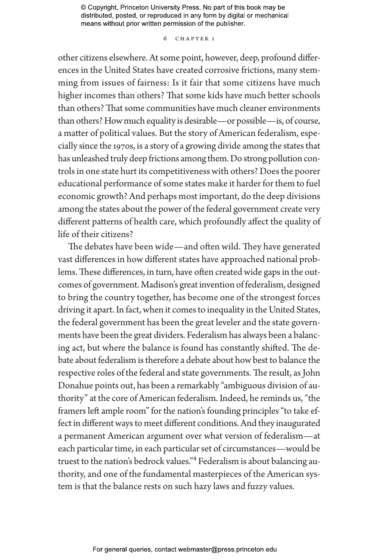## 6 chapter 1

other citizens elsewhere. At some point, however, deep, profound differences in the United States have created corrosive frictions, many stemming from issues of fairness: Is it fair that some citizens have much higher incomes than others? That some kids have much better schools than others? That some communities have much cleaner environments than others? How much equality is desirable—or possible—is, of course, a matter of political values. But the story of American federalism, especially since the 1970s, is a story of a growing divide among the states that has unleashed truly deep frictions among them. Do strong pollution controls in one state hurt its competitiveness with others? Does the poorer educational performance of some states make it harder for them to fuel economic growth? And perhaps most important, do the deep divisions among the states about the power of the federal government create very different patterns of health care, which profoundly affect the quality of life of their citizens?

The debates have been wide—and often wild. They have generated vast differences in how different states have approached national problems. These differences, in turn, have often created wide gaps in the outcomes of government. Madison's great invention of federalism, designed to bring the country together, has become one of the strongest forces driving it apart. In fact, when it comes to inequality in the United States, the federal government has been the great leveler and the state governments have been the great dividers. Federalism has always been a balancing act, but where the balance is found has constantly shifted. The debate about federalism is therefore a debate about how best to balance the respective roles of the federal and state governments. The result, as John Donahue points out, has been a remarkably "ambiguous division of authority" at the core of American federalism. Indeed, he reminds us, "the framers left ample room" for the nation's founding principles "to take effect in different ways to meet different conditions. And they inaugurated a permanent American argument over what version of federalism—at each particular time, in each particular set of circumstances—would be truest to the nation's bedrock values."4 Federalism is about balancing authority, and one of the fundamental masterpieces of the American system is that the balance rests on such hazy laws and fuzzy values.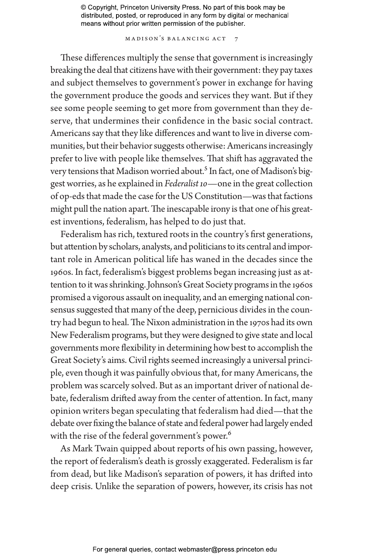MADISON'S BALANCING ACT 7

These differences multiply the sense that government is increasingly breaking the deal that citizens have with their government: they pay taxes and subject themselves to government's power in exchange for having the government produce the goods and services they want. But if they see some people seeming to get more from government than they deserve, that undermines their confidence in the basic social contract. Americans say that they like differences and want to live in diverse communities, but their behavior suggests otherwise: Americans increasingly prefer to live with people like themselves. That shift has aggravated the very tensions that Madison worried about.<sup>5</sup> In fact, one of Madison's biggest worries, as he explained in *Federalist 10*—one in the great collection of op-eds that made the case for the US Constitution—was that factions might pull the nation apart. The inescapable irony is that one of his greatest inventions, federalism, has helped to do just that.

Federalism has rich, textured roots in the country's first generations, but attention by scholars, analysts, and politicians to its central and important role in American political life has waned in the decades since the 1960s. In fact, federalism's biggest problems began increasing just as attention to it was shrinking. Johnson's Great Society programs in the 1960s promised a vigorous assault on inequality, and an emerging national consensus suggested that many of the deep, pernicious divides in the country had begun to heal. The Nixon administration in the 1970s had its own New Federalism programs, but they were designed to give state and local governments more flexibility in determining how best to accomplish the Great Society's aims. Civil rights seemed increasingly a universal principle, even though it was painfully obvious that, for many Americans, the problem was scarcely solved. But as an important driver of national debate, federalism drifted away from the center of attention. In fact, many opinion writers began speculating that federalism had died—that the debate over fixing the balance of state and federal power had largely ended with the rise of the federal government's power.<sup>6</sup>

As Mark Twain quipped about reports of his own passing, however, the report of federalism's death is grossly exaggerated. Federalism is far from dead, but like Madison's separation of powers, it has drifted into deep crisis. Unlike the separation of powers, however, its crisis has not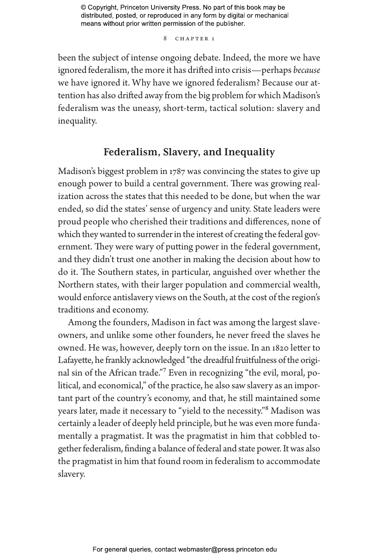8 CHAPTER 1

been the subject of intense ongoing debate. Indeed, the more we have ignored federalism, the more it has drifted into crisis—perhaps *because* we have ignored it. Why have we ignored federalism? Because our attention has also drifted away from the big problem for which Madison's federalism was the uneasy, short-term, tactical solution: slavery and inequality.

# **Federalism, Slavery, and Inequality**

Madison's biggest problem in 1787 was convincing the states to give up enough power to build a central government. There was growing realization across the states that this needed to be done, but when the war ended, so did the states' sense of urgency and unity. State leaders were proud people who cherished their traditions and differences, none of which they wanted to surrender in the interest of creating the federal government. They were wary of putting power in the federal government, and they didn't trust one another in making the decision about how to do it. The Southern states, in particular, anguished over whether the Northern states, with their larger population and commercial wealth, would enforce antislavery views on the South, at the cost of the region's traditions and economy.

Among the founders, Madison in fact was among the largest slaveowners, and unlike some other founders, he never freed the slaves he owned. He was, however, deeply torn on the issue. In an 1820 letter to Lafayette, he frankly acknowledged "the dreadful fruitfulness of the original sin of the African trade."7 Even in recognizing "the evil, moral, political, and economical," of the practice, he also saw slavery as an important part of the country's economy, and that, he still maintained some years later, made it necessary to "yield to the necessity."8 Madison was certainly a leader of deeply held principle, but he was even more fundamentally a pragmatist. It was the pragmatist in him that cobbled together federalism, finding a balance of federal and state power. It was also the pragmatist in him that found room in federalism to accommodate slavery.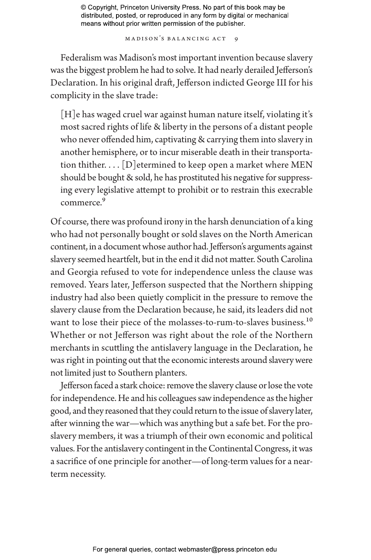M a dison's Ba lancing Act 9

Federalism was Madison's most important invention because slavery was the biggest problem he had to solve. It had nearly derailed Jefferson's Declaration. In his original draft, Jefferson indicted George III for his complicity in the slave trade:

[H]e has waged cruel war against human nature itself, violating it's most sacred rights of life & liberty in the persons of a distant people who never offended him, captivating & carrying them into slavery in another hemisphere, or to incur miserable death in their transportation thither.  $\ldots$  [D] etermined to keep open a market where MEN should be bought & sold, he has prostituted his negative for suppressing every legislative attempt to prohibit or to restrain this execrable commerce.9

Of course, there was profound irony in the harsh denunciation of a king who had not personally bought or sold slaves on the North American continent, in a document whose author had. Jefferson's arguments against slavery seemed heartfelt, but in the end it did not matter. South Carolina and Georgia refused to vote for independence unless the clause was removed. Years later, Jefferson suspected that the Northern shipping industry had also been quietly complicit in the pressure to remove the slavery clause from the Declaration because, he said, its leaders did not want to lose their piece of the molasses-to-rum-to-slaves business.<sup>10</sup> Whether or not Jefferson was right about the role of the Northern merchants in scuttling the antislavery language in the Declaration, he was right in pointing out that the economic interests around slavery were not limited just to Southern planters.

Jefferson faced a stark choice: remove the slavery clause or lose the vote for independence. He and his colleagues saw independence as the higher good, and they reasoned that they could return to the issue of slavery later, after winning the war—which was anything but a safe bet. For the proslavery members, it was a triumph of their own economic and political values. For the antislavery contingent in the Continental Congress, it was a sacrifice of one principle for another—of long-term values for a nearterm necessity.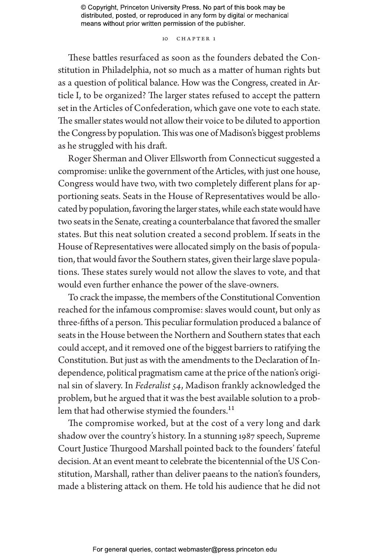## 10 CHAPTER 1

These battles resurfaced as soon as the founders debated the Constitution in Philadelphia, not so much as a matter of human rights but as a question of political balance. How was the Congress, created in Article I, to be organized? The larger states refused to accept the pattern set in the Articles of Confederation, which gave one vote to each state. The smaller states would not allow their voice to be diluted to apportion the Congress by population. This was one of Madison's biggest problems as he struggled with his draft.

Roger Sherman and Oliver Ellsworth from Connecticut suggested a compromise: unlike the government of the Articles, with just one house, Congress would have two, with two completely different plans for apportioning seats. Seats in the House of Representatives would be allocated by population, favoring the larger states, while each state would have two seats in the Senate, creating a counterbalance that favored the smaller states. But this neat solution created a second problem. If seats in the House of Representatives were allocated simply on the basis of population, that would favor the Southern states, given their large slave populations. These states surely would not allow the slaves to vote, and that would even further enhance the power of the slave-owners.

To crack the impasse, the members of the Constitutional Convention reached for the infamous compromise: slaves would count, but only as three-fifths of a person. This peculiar formulation produced a balance of seats in the House between the Northern and Southern states that each could accept, and it removed one of the biggest barriers to ratifying the Constitution. But just as with the amendments to the Declaration of Independence, political pragmatism came at the price of the nation's original sin of slavery. In *Federalist 54*, Madison frankly acknowledged the problem, but he argued that it was the best available solution to a problem that had otherwise stymied the founders.<sup>11</sup>

The compromise worked, but at the cost of a very long and dark shadow over the country's history. In a stunning 1987 speech, Supreme Court Justice Thurgood Marshall pointed back to the founders' fateful decision. At an event meant to celebrate the bicentennial of the US Constitution, Marshall, rather than deliver paeans to the nation's founders, made a blistering attack on them. He told his audience that he did not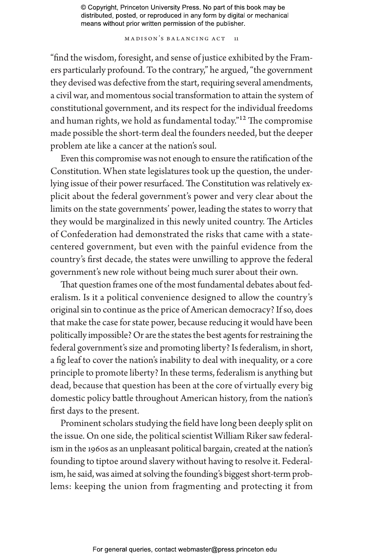MADISON'S BALANCING ACT 11

"find the wisdom, foresight, and sense of justice exhibited by the Framers particularly profound. To the contrary," he argued, "the government they devised was defective from the start, requiring several amendments, a civil war, and momentous social transformation to attain the system of constitutional government, and its respect for the individual freedoms and human rights, we hold as fundamental today."12 The compromise made possible the short-term deal the founders needed, but the deeper problem ate like a cancer at the nation's soul.

Even this compromise was not enough to ensure the ratification of the Constitution. When state legislatures took up the question, the underlying issue of their power resurfaced. The Constitution was relatively explicit about the federal government's power and very clear about the limits on the state governments' power, leading the states to worry that they would be marginalized in this newly united country. The Articles of Confederation had demonstrated the risks that came with a statecentered government, but even with the painful evidence from the country's first decade, the states were unwilling to approve the federal government's new role without being much surer about their own.

That question frames one of the most fundamental debates about federalism. Is it a political convenience designed to allow the country's original sin to continue as the price of American democracy? If so, does that make the case for state power, because reducing it would have been politically impossible? Or are the states the best agents for restraining the federal government's size and promoting liberty? Is federalism, in short, a fig leaf to cover the nation's inability to deal with inequality, or a core principle to promote liberty? In these terms, federalism is anything but dead, because that question has been at the core of virtually every big domestic policy battle throughout American history, from the nation's first days to the present.

Prominent scholars studying the field have long been deeply split on the issue. On one side, the political scientist William Riker saw federalism in the 1960s as an unpleasant political bargain, created at the nation's founding to tiptoe around slavery without having to resolve it. Federalism, he said, was aimed at solving the founding's biggest short-term problems: keeping the union from fragmenting and protecting it from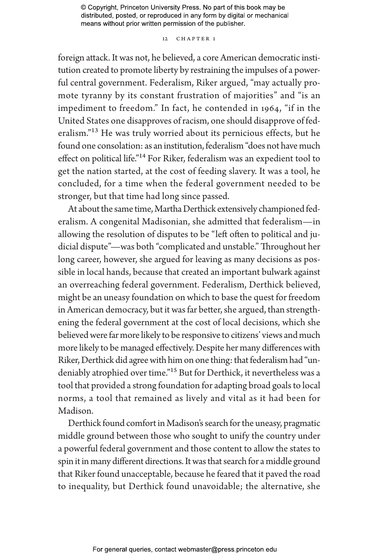## 12 CHAPTER 1

foreign attack. It was not, he believed, a core American democratic institution created to promote liberty by restraining the impulses of a powerful central government. Federalism, Riker argued, "may actually promote tyranny by its constant frustration of majorities" and "is an impediment to freedom." In fact, he contended in 1964, "if in the United States one disapproves of racism, one should disapprove of federalism."<sup>13</sup> He was truly worried about its pernicious effects, but he found one consolation: as an institution, federalism "does not have much effect on political life."14 For Riker, federalism was an expedient tool to get the nation started, at the cost of feeding slavery. It was a tool, he concluded, for a time when the federal government needed to be stronger, but that time had long since passed.

At about the same time, Martha Derthick extensively championed federalism. A congenital Madisonian, she admitted that federalism—in allowing the resolution of disputes to be "left often to political and judicial dispute"—was both "complicated and unstable." Throughout her long career, however, she argued for leaving as many decisions as possible in local hands, because that created an important bulwark against an overreaching federal government. Federalism, Derthick believed, might be an uneasy foundation on which to base the quest for freedom in American democracy, but it was far better, she argued, than strengthening the federal government at the cost of local decisions, which she believed were far more likely to be responsive to citizens' views and much more likely to be managed effectively. Despite her many differences with Riker, Derthick did agree with him on one thing: that federalism had "undeniably atrophied over time."<sup>15</sup> But for Derthick, it nevertheless was a tool that provided a strong foundation for adapting broad goals to local norms, a tool that remained as lively and vital as it had been for Madison.

Derthick found comfort in Madison's search for the uneasy, pragmatic middle ground between those who sought to unify the country under a powerful federal government and those content to allow the states to spin it in many different directions. It was that search for a middle ground that Riker found unacceptable, because he feared that it paved the road to inequality, but Derthick found unavoidable; the alternative, she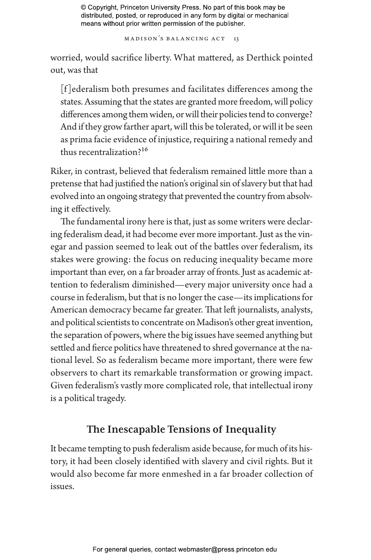MADISON'S BALANCING ACT 13

worried, would sacrifice liberty. What mattered, as Derthick pointed out, was that

[f ]ederalism both presumes and facilitates differences among the states. Assuming that the states are granted more freedom, will policy differences among them widen, or will their policies tend to converge? And if they grow farther apart, will this be tolerated, or will it be seen as prima facie evidence of injustice, requiring a national remedy and thus recentralization?16

Riker, in contrast, believed that federalism remained little more than a pretense that had justified the nation's original sin of slavery but that had evolved into an ongoing strategy that prevented the country from absolving it effectively.

The fundamental irony here is that, just as some writers were declaring federalism dead, it had become ever more important. Just as the vinegar and passion seemed to leak out of the battles over federalism, its stakes were growing: the focus on reducing inequality became more important than ever, on a far broader array of fronts. Just as academic attention to federalism diminished—every major university once had a course in federalism, but that is no longer the case—its implications for American democracy became far greater. That left journalists, analysts, and political scientists to concentrate on Madison's other great invention, the separation of powers, where the big issues have seemed anything but settled and fierce politics have threatened to shred governance at the national level. So as federalism became more important, there were few observers to chart its remarkable transformation or growing impact. Given federalism's vastly more complicated role, that intellectual irony is a political tragedy.

# **The Inescapable Tensions of Inequality**

It became tempting to push federalism aside because, for much of its history, it had been closely identified with slavery and civil rights. But it would also become far more enmeshed in a far broader collection of issues.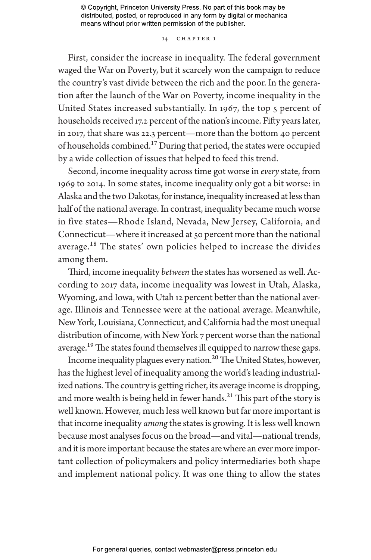## 14 CHAPTER 1

First, consider the increase in inequality. The federal government waged the War on Poverty, but it scarcely won the campaign to reduce the country's vast divide between the rich and the poor. In the generation after the launch of the War on Poverty, income inequality in the United States increased substantially. In 1967, the top 5 percent of households received 17.2 percent of the nation's income. Fifty years later, in 2017, that share was 22.3 percent—more than the bottom 40 percent of households combined.17 During that period, the states were occupied by a wide collection of issues that helped to feed this trend.

Second, income inequality across time got worse in *every* state, from 1969 to 2014. In some states, income inequality only got a bit worse: in Alaska and the two Dakotas, for instance, inequality increased at less than half of the national average. In contrast, inequality became much worse in five states—Rhode Island, Nevada, New Jersey, California, and Connecticut—where it increased at 50 percent more than the national average.<sup>18</sup> The states' own policies helped to increase the divides among them.

Third, income inequality *between* the states has worsened as well. According to 2017 data, income inequality was lowest in Utah, Alaska, Wyoming, and Iowa, with Utah 12 percent better than the national average. Illinois and Tennessee were at the national average. Meanwhile, New York, Louisiana, Connecticut, and California had the most unequal distribution of income, with New York 7 percent worse than the national average.<sup>19</sup> The states found themselves ill equipped to narrow these gaps.

Income inequality plagues every nation.20 The United States, however, has the highest level of inequality among the world's leading industrialized nations. The country is getting richer, its average income is dropping, and more wealth is being held in fewer hands.<sup>21</sup> This part of the story is well known. However, much less well known but far more important is that income inequality *among* the states is growing. It is less well known because most analyses focus on the broad—and vital—national trends, and it is more important because the states are where an ever more important collection of policymakers and policy intermediaries both shape and implement national policy. It was one thing to allow the states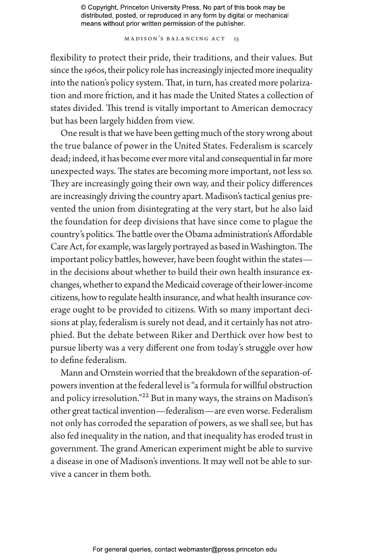MADISON'S BALANCING ACT 15

flexibility to protect their pride, their traditions, and their values. But since the 1960s, their policy role has increasingly injected more inequality into the nation's policy system. That, in turn, has created more polarization and more friction, and it has made the United States a collection of states divided. This trend is vitally important to American democracy but has been largely hidden from view.

One result is that we have been getting much of the story wrong about the true balance of power in the United States. Federalism is scarcely dead; indeed, it has become ever more vital and consequential in far more unexpected ways. The states are becoming more important, not less so. They are increasingly going their own way, and their policy differences are increasingly driving the country apart. Madison's tactical genius prevented the union from disintegrating at the very start, but he also laid the foundation for deep divisions that have since come to plague the country's politics. The battle over the Obama administration's Affordable Care Act, for example, was largely portrayed as based in Washington. The important policy battles, however, have been fought within the states in the decisions about whether to build their own health insurance exchanges, whether to expand the Medicaid coverage of their lower-income citizens, how to regulate health insurance, and what health insurance coverage ought to be provided to citizens. With so many important decisions at play, federalism is surely not dead, and it certainly has not atrophied. But the debate between Riker and Derthick over how best to pursue liberty was a very different one from today's struggle over how to define federalism.

Mann and Ornstein worried that the breakdown of the separation-ofpowers invention at the federal level is "a formula for willful obstruction and policy irresolution."22 But in many ways, the strains on Madison's other great tactical invention—federalism—are even worse. Federalism not only has corroded the separation of powers, as we shall see, but has also fed inequality in the nation, and that inequality has eroded trust in government. The grand American experiment might be able to survive a disease in one of Madison's inventions. It may well not be able to survive a cancer in them both.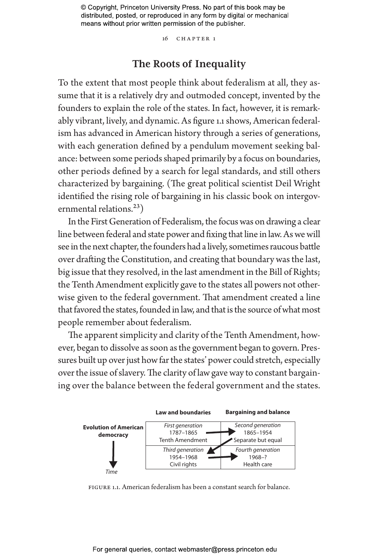16 chapter 1

## **The Roots of Inequality**

To the extent that most people think about federalism at all, they assume that it is a relatively dry and outmoded concept, invented by the founders to explain the role of the states. In fact, however, it is remarkably vibrant, lively, and dynamic. As figure 1.1 shows, American federalism has advanced in American history through a series of generations, with each generation defined by a pendulum movement seeking balance: between some periods shaped primarily by a focus on boundaries, other periods defined by a search for legal standards, and still others characterized by bargaining. (The great political scientist Deil Wright identified the rising role of bargaining in his classic book on intergovernmental relations.<sup>23</sup>)

In the First Generation of Federalism, the focus was on drawing a clear line between federal and state power and fixing that line in law. As we will see in the next chapter, the founders had a lively, sometimes raucous battle over drafting the Constitution, and creating that boundary was the last, big issue that they resolved, in the last amendment in the Bill of Rights; the Tenth Amendment explicitly gave to the states all powers not otherwise given to the federal government. That amendment created a line that favored the states, founded in law, and that is the source of what most people remember about federalism.

The apparent simplicity and clarity of the Tenth Amendment, however, began to dissolve as soon as the government began to govern. Pressures built up over just how far the states' power could stretch, especially over the issue of slavery. The clarity of law gave way to constant bargaining over the balance between the federal government and the states.



Figure 1.1. American federalism has been a constant search for balance.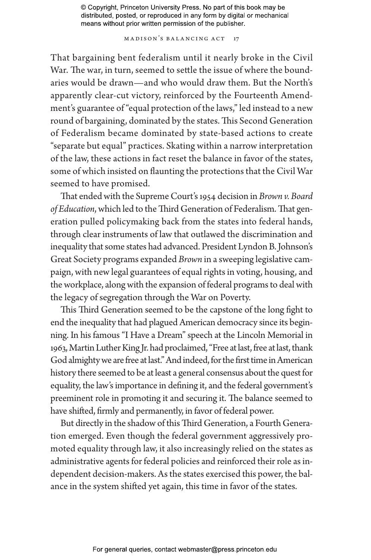MADISON'S BALANCING ACT 17

That bargaining bent federalism until it nearly broke in the Civil War. The war, in turn, seemed to settle the issue of where the boundaries would be drawn—and who would draw them. But the North's apparently clear-cut victory, reinforced by the Fourteenth Amendment's guarantee of "equal protection of the laws," led instead to a new round of bargaining, dominated by the states. This Second Generation of Federalism became dominated by state-based actions to create "separate but equal" practices. Skating within a narrow interpretation of the law, these actions in fact reset the balance in favor of the states, some of which insisted on flaunting the protections that the Civil War seemed to have promised.

That ended with the Supreme Court's 1954 decision in *Brown v. Board of Education*, which led to the Third Generation of Federalism. That generation pulled policymaking back from the states into federal hands, through clear instruments of law that outlawed the discrimination and inequality that some states had advanced. President Lyndon B. Johnson's Great Society programs expanded *Brown* in a sweeping legislative campaign, with new legal guarantees of equal rights in voting, housing, and the workplace, along with the expansion of federal programs to deal with the legacy of segregation through the War on Poverty.

This Third Generation seemed to be the capstone of the long fight to end the inequality that had plagued American democracy since its beginning. In his famous "I Have a Dream" speech at the Lincoln Memorial in 1963, Martin Luther King Jr. had proclaimed, "Free at last, free at last, thank God almighty we are free at last." And indeed, for the first time in American history there seemed to be at least a general consensus about the quest for equality, the law's importance in defining it, and the federal government's preeminent role in promoting it and securing it. The balance seemed to have shifted, firmly and permanently, in favor of federal power.

But directly in the shadow of this Third Generation, a Fourth Generation emerged. Even though the federal government aggressively promoted equality through law, it also increasingly relied on the states as administrative agents for federal policies and reinforced their role as independent decision-makers. As the states exercised this power, the balance in the system shifted yet again, this time in favor of the states.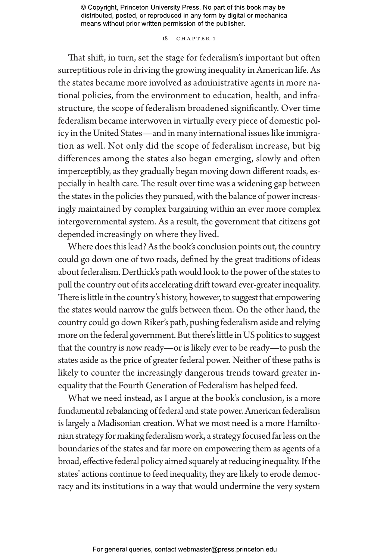### 18 CHAPTER 1

That shift, in turn, set the stage for federalism's important but often surreptitious role in driving the growing inequality in American life. As the states became more involved as administrative agents in more national policies, from the environment to education, health, and infrastructure, the scope of federalism broadened significantly. Over time federalism became interwoven in virtually every piece of domestic policy in the United States—and in many international issues like immigration as well. Not only did the scope of federalism increase, but big differences among the states also began emerging, slowly and often imperceptibly, as they gradually began moving down different roads, especially in health care. The result over time was a widening gap between the states in the policies they pursued, with the balance of power increasingly maintained by complex bargaining within an ever more complex intergovernmental system. As a result, the government that citizens got depended increasingly on where they lived.

Where does this lead? As the book's conclusion points out, the country could go down one of two roads, defined by the great traditions of ideas about federalism. Derthick's path would look to the power of the states to pull the country out of its accelerating drift toward ever-greater inequality. There is little in the country's history, however, to suggest that empowering the states would narrow the gulfs between them. On the other hand, the country could go down Riker's path, pushing federalism aside and relying more on the federal government. But there's little in US politics to suggest that the country is now ready—or is likely ever to be ready—to push the states aside as the price of greater federal power. Neither of these paths is likely to counter the increasingly dangerous trends toward greater inequality that the Fourth Generation of Federalism has helped feed.

What we need instead, as I argue at the book's conclusion, is a more fundamental rebalancing of federal and state power. American federalism is largely a Madisonian creation. What we most need is a more Hamiltonian strategy for making federalism work, a strategy focused far less on the boundaries of the states and far more on empowering them as agents of a broad, effective federal policy aimed squarely at reducing inequality. If the states' actions continue to feed inequality, they are likely to erode democracy and its institutions in a way that would undermine the very system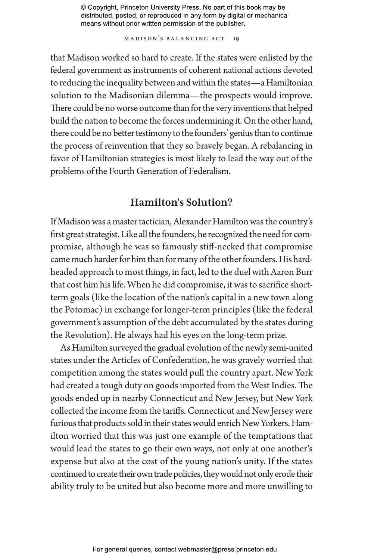MADISON'S BALANCING ACT 19

that Madison worked so hard to create. If the states were enlisted by the federal government as instruments of coherent national actions devoted to reducing the inequality between and within the states—a Hamiltonian solution to the Madisonian dilemma—the prospects would improve. There could be no worse outcome than for the very inventions that helped build the nation to become the forces undermining it. On the other hand, there could be no better testimony to the founders' genius than to continue the process of reinvention that they so bravely began. A rebalancing in favor of Hamiltonian strategies is most likely to lead the way out of the problems of the Fourth Generation of Federalism.

# **Hamilton's Solution?**

If Madison was a master tactician, Alexander Hamilton was the country's first great strategist. Like all the founders, he recognized the need for compromise, although he was so famously stiff-necked that compromise came much harder for him than for many of the other founders. His hardheaded approach to most things, in fact, led to the duel with Aaron Burr that cost him his life. When he did compromise, it was to sacrifice shortterm goals (like the location of the nation's capital in a new town along the Potomac) in exchange for longer-term principles (like the federal government's assumption of the debt accumulated by the states during the Revolution). He always had his eyes on the long-term prize.

As Hamilton surveyed the gradual evolution of the newly semi-united states under the Articles of Confederation, he was gravely worried that competition among the states would pull the country apart. New York had created a tough duty on goods imported from the West Indies. The goods ended up in nearby Connecticut and New Jersey, but New York collected the income from the tariffs. Connecticut and New Jersey were furious that products sold in their states would enrich New Yorkers. Hamilton worried that this was just one example of the temptations that would lead the states to go their own ways, not only at one another's expense but also at the cost of the young nation's unity. If the states continued to create their own trade policies, they would not only erode their ability truly to be united but also become more and more unwilling to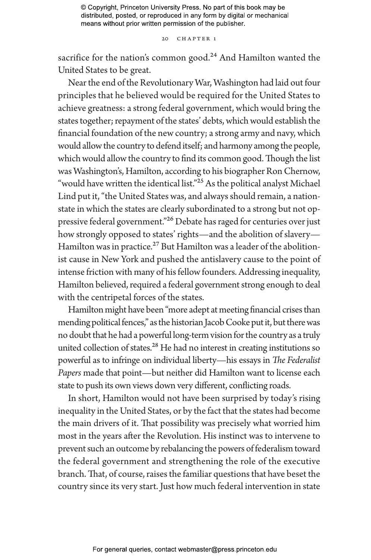20 CHAPTER 1

sacrifice for the nation's common good. $24$  And Hamilton wanted the United States to be great.

Near the end of the Revolutionary War, Washington had laid out four principles that he believed would be required for the United States to achieve greatness: a strong federal government, which would bring the states together; repayment of the states' debts, which would establish the financial foundation of the new country; a strong army and navy, which would allow the country to defend itself; and harmony among the people, which would allow the country to find its common good. Though the list was Washington's, Hamilton, according to his biographer Ron Chernow, "would have written the identical list."<sup>25</sup> As the political analyst Michael Lind put it, "the United States was, and always should remain, a nationstate in which the states are clearly subordinated to a strong but not oppressive federal government."<sup>26</sup> Debate has raged for centuries over just how strongly opposed to states' rights—and the abolition of slavery— Hamilton was in practice.<sup>27</sup> But Hamilton was a leader of the abolitionist cause in New York and pushed the antislavery cause to the point of intense friction with many of his fellow founders. Addressing inequality, Hamilton believed, required a federal government strong enough to deal with the centripetal forces of the states.

Hamilton might have been "more adept at meeting financial crises than mending political fences," as the historian Jacob Cooke put it, but there was no doubt that he had a powerful long-term vision for the country as a truly united collection of states.<sup>28</sup> He had no interest in creating institutions so powerful as to infringe on individual liberty—his essays in *The Federalist Papers* made that point—but neither did Hamilton want to license each state to push its own views down very different, conflicting roads.

In short, Hamilton would not have been surprised by today's rising inequality in the United States, or by the fact that the states had become the main drivers of it. That possibility was precisely what worried him most in the years after the Revolution. His instinct was to intervene to prevent such an outcome by rebalancing the powers of federalism toward the federal government and strengthening the role of the executive branch. That, of course, raises the familiar questions that have beset the country since its very start. Just how much federal intervention in state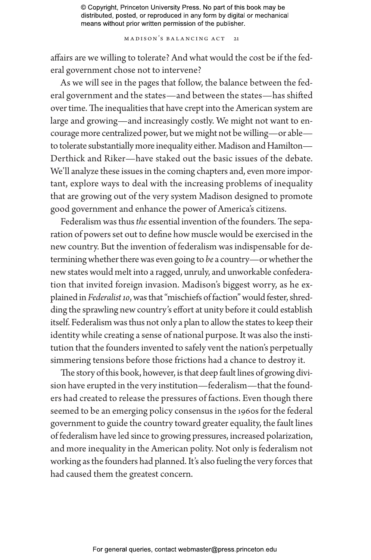M a dison's Ba lancing Act 21

affairs are we willing to tolerate? And what would the cost be if the federal government chose not to intervene?

As we will see in the pages that follow, the balance between the federal government and the states—and between the states—has shifted over time. The inequalities that have crept into the American system are large and growing—and increasingly costly. We might not want to encourage more centralized power, but we might not be willing—or able to tolerate substantially more inequality either. Madison and Hamilton— Derthick and Riker—have staked out the basic issues of the debate. We'll analyze these issues in the coming chapters and, even more important, explore ways to deal with the increasing problems of inequality that are growing out of the very system Madison designed to promote good government and enhance the power of America's citizens.

Federalism was thus *the* essential invention of the founders. The separation of powers set out to define how muscle would be exercised in the new country. But the invention of federalism was indispensable for determining whether there was even going to *be* a country—or whether the new states would melt into a ragged, unruly, and unworkable confederation that invited foreign invasion. Madison's biggest worry, as he explained in *Federalist 10*, was that "mischiefs of faction" would fester, shredding the sprawling new country's effort at unity before it could establish itself. Federalism was thus not only a plan to allow the states to keep their identity while creating a sense of national purpose. It was also the institution that the founders invented to safely vent the nation's perpetually simmering tensions before those frictions had a chance to destroy it.

The story of this book, however, is that deep fault lines of growing division have erupted in the very institution—federalism—that the founders had created to release the pressures of factions. Even though there seemed to be an emerging policy consensus in the 1960s for the federal government to guide the country toward greater equality, the fault lines of federalism have led since to growing pressures, increased polarization, and more inequality in the American polity. Not only is federalism not working as the founders had planned. It's also fueling the very forces that had caused them the greatest concern.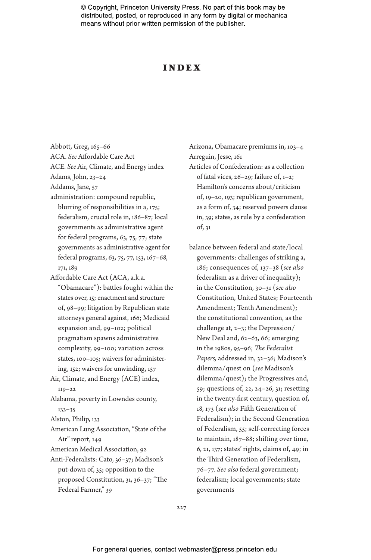## Inde x

Abbott, Greg, 165–66

ACA. *See* Affordable Care Act

ACE. *See* Air, Climate, and Energy index

Adams, John, 23–24

Addams, Jane, 57

- administration: compound republic, blurring of responsibilities in a, 175; federalism, crucial role in, 186–87; local governments as administrative agent for federal programs, 63, 75, 77; state governments as administrative agent for federal programs, 63, 75, 77, 153, 167–68, 171, 189
- Affordable Care Act (ACA, a.k.a. "Obamacare"): battles fought within the states over, 15; enactment and structure of, 98–99; litigation by Republican state attorneys general against, 166; Medicaid expansion and, 99–102; political pragmatism spawns administrative complexity, 99–100; variation across states, 100–105; waivers for administering, 152; waivers for unwinding, 157
- Air, Climate, and Energy (ACE) index, 119–22

Alabama, poverty in Lowndes county, 133–35

Alston, Philip, 133

American Lung Association, "State of the Air" report, 149

- American Medical Association, 92
- Anti-Federalists: Cato, 36–37; Madison's put-down of, 35; opposition to the proposed Constitution, 31, 36–37; "The Federal Farmer," 39

Arizona, Obamacare premiums in, 103–4 Arreguin, Jesse, 161

- Articles of Confederation: as a collection of fatal vices, 26–29; failure of, 1–2; Hamilton's concerns about/criticism of, 19–20, 193; republican government, as a form of, 34; reserved powers clause in, 39; states, as rule by a confederation of, 31
- balance between federal and state/local governments: challenges of striking a, 186; consequences of, 137–38 (*see also* federalism as a driver of inequality); in the Constitution, 30–31 (*see also* Constitution, United States; Fourteenth Amendment; Tenth Amendment); the constitutional convention, as the challenge at, 2–3; the Depression/ New Deal and, 62–63, 66; emerging in the 1980s, 95–96; *The Federalist Papers,* addressed in, 32–36; Madison's dilemma/quest on (*see* Madison's dilemma/quest); the Progressives and, 59; questions of, 22, 24–26, 31; resetting in the twenty-first century, question of, 18, 173 (*see also* Fifth Generation of Federalism); in the Second Generation of Federalism, 55; self-correcting forces to maintain, 187–88; shifting over time, 6, 21, 137; states' rights, claims of, 49; in the Third Generation of Federalism, 76–77. *See also* federal government; federalism; local governments; state governments

227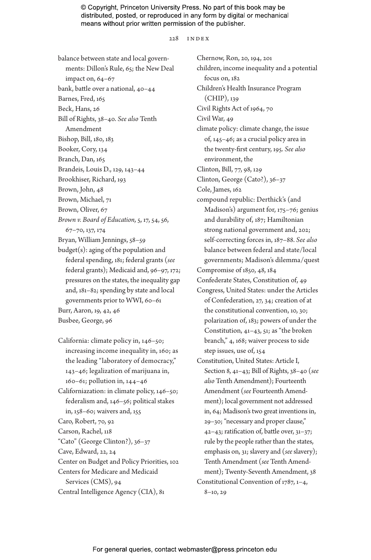#### 228 index

balance between state and local governments: Dillon's Rule, 65; the New Deal impact on, 64–67 bank, battle over a national, 40–44 Barnes, Fred, 165 Beck, Hans, 26 Bill of Rights, 38–40. *See also* Tenth Amendment Bishop, Bill, 180, 183 Booker, Cory, 134 Branch, Dan, 165 Brandeis, Louis D., 129, 143–44 Brookhiser, Richard, 193 Brown, John, 48 Brown, Michael, 71 Brown, Oliver, 67 *Brown v. Board of Education,* 5, 17, 54, 56, 67–70, 137, 174 Bryan, William Jennings, 58–59 budget(s): aging of the population and federal spending, 181; federal grants (*see* federal grants); Medicaid and, 96–97, 172; pressures on the states, the inequality gap and, 181–82; spending by state and local governments prior to WWI, 60–61 Burr, Aaron, 19, 42, 46 Busbee, George, 96 California: climate policy in, 146–50; increasing income inequality in, 160; as

the leading "laboratory of democracy," 143–46; legalization of marijuana in, 160–61; pollution in, 144–46 Californiazation: in climate policy, 146–50; federalism and, 146–56; political stakes in, 158–60; waivers and, 155 Caro, Robert, 70, 92 Carson, Rachel, 118 "Cato" (George Clinton?), 36–37 Cave, Edward, 22, 24 Center on Budget and Policy Priorities, 102 Centers for Medicare and Medicaid Services (CMS), 94 Central Intelligence Agency (CIA), 81

Chernow, Ron, 20, 194, 201 children, income inequality and a potential focus on, 182 Children's Health Insurance Program (CHIP), 139 Civil Rights Act of 1964, 70 Civil War, 49 climate policy: climate change, the issue of, 145–46; as a crucial policy area in the twenty-first century, 195. *See also* environment, the Clinton, Bill, 77, 98, 129 Clinton, George (Cato?), 36–37 Cole, James, 162 compound republic: Derthick's (and Madison's) argument for, 175–76; genius and durability of, 187; Hamiltonian strong national government and, 202; self-correcting forces in, 187–88. *See also* balance between federal and state/local governments; Madison's dilemma/quest Compromise of 1850, 48, 184 Confederate States, Constitution of, 49 Congress, United States: under the Articles of Confederation, 27, 34; creation of at the constitutional convention, 10, 30; polarization of, 183; powers of under the Constitution, 41–43, 51; as "the broken branch," 4, 168; waiver process to side step issues, use of, 154 Constitution, United States: Article I, Section 8, 41–43; Bill of Rights, 38–40 (*see also* Tenth Amendment); Fourteenth Amendment (*see* Fourteenth Amendment); local government not addressed in, 64; Madison's two great inventions in, 29–30; "necessary and proper clause," 42–43; ratification of, battle over, 31–37; rule by the people rather than the states, emphasis on, 31; slavery and (*see* slavery); Tenth Amendment (*see* Tenth Amendment); Twenty-Seventh Amendment, 38 Constitutional Convention of 1787, 1–4, 8–10, 29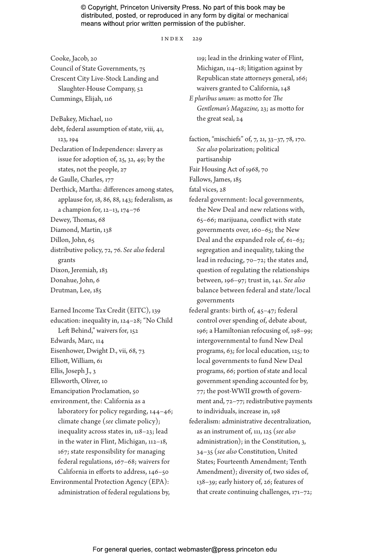index 229

Council of State Governments, 75 Crescent City Live-Stock Landing and Slaughter-House Company, 52 Cummings, Elijah, 116 DeBakey, Michael, 110 debt, federal assumption of state, viii, 41, 123, 194 Declaration of Independence: slavery as issue for adoption of, 25, 32, 49; by the states, not the people, 27 de Gaulle, Charles, 177 Derthick, Martha: differences among states, applause for, 18, 86, 88, 143; federalism, as a champion for, 12–13, 174–76 Dewey, Thomas, 68 Diamond, Martin, 138 Dillon, John, 65 distributive policy, 72, 76. *See also* federal grants Dixon, Jeremiah, 183 Donahue, John, 6 Drutman, Lee, 185

Cooke, Jacob, 20

Earned Income Tax Credit (EITC), 139 education: inequality in, 124–28; "No Child Left Behind," waivers for, 152 Edwards, Marc, 114 Eisenhower, Dwight D., vii, 68, 73 Elliott, William, 61 Ellis, Joseph J., 3 Ellsworth, Oliver, 10 Emancipation Proclamation, 50 environment, the: California as a laboratory for policy regarding, 144–46; climate change (*see* climate policy); inequality across states in, 118–23; lead in the water in Flint, Michigan, 112–18, 167; state responsibility for managing federal regulations, 167–68; waivers for California in efforts to address, 146–50 Environmental Protection Agency (EPA): administration of federal regulations by,

119; lead in the drinking water of Flint, Michigan, 114–18; litigation against by Republican state attorneys general, 166; waivers granted to California, 148 *E pluribus unum*: as motto for *The Gentleman's Magazine,* 23; as motto for the great seal, 24

faction, "mischiefs" of, 7, 21, 33–37, 78, 170. *See also* polarization; political partisanship Fair Housing Act of 1968, 70

Fallows, James, 185

fatal vices, 28

- federal government: local governments, the New Deal and new relations with, 65–66; marijuana, conflict with state governments over, 160–65; the New Deal and the expanded role of, 61–63; segregation and inequality, taking the lead in reducing, 70–72; the states and, question of regulating the relationships between, 196–97; trust in, 141. *See also* balance between federal and state/local governments
- federal grants: birth of, 45–47; federal control over spending of, debate about, 196; a Hamiltonian refocusing of, 198–99; intergovernmental to fund New Deal programs, 63; for local education, 125; to local governments to fund New Deal programs, 66; portion of state and local government spending accounted for by, 77; the post-WWII growth of government and, 72–77; redistributive payments to individuals, increase in, 198
- federalism: administrative decentralization, as an instrument of, 111, 125 (*see also* administration); in the Constitution, 3, 34–35 (*see also* Constitution, United States; Fourteenth Amendment; Tenth Amendment); diversity of, two sides of, 138–39; early history of, 26; features of that create continuing challenges, 171–72;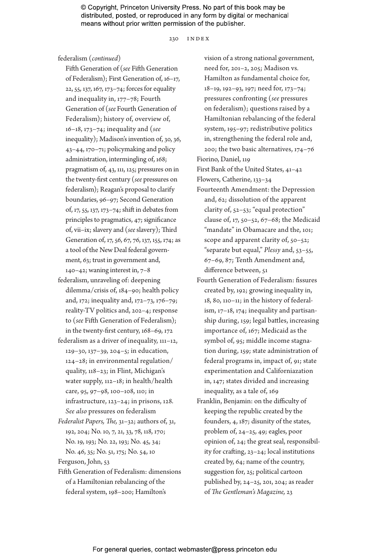230 index

federalism (*continued*)

Fifth Generation of (*see* Fifth Generation of Federalism); First Generation of, 16–17, 22, 55, 137, 167, 173–74; forces for equality and inequality in, 177–78; Fourth Generation of (*see* Fourth Generation of Federalism); history of, overview of, 16–18, 173–74; inequality and (*see* inequality); Madison's invention of, 30, 36, 43–44, 170–71; policymaking and policy administration, intermingling of, 168; pragmatism of, 43, 111, 125; pressures on in the twenty-first century (*see* pressures on federalism); Reagan's proposal to clarify boundaries, 96–97; Second Generation of, 17, 55, 137, 173–74; shift in debates from principles to pragmatics, 47; significance of, vii–ix; slavery and (*see* slavery); Third Generation of, 17, 56, 67, 76, 137, 155, 174; as a tool of the New Deal federal government, 63; trust in government and, 140–42; waning interest in, 7–8

- federalism, unraveling of: deepening dilemma/crisis of, 184–90; health policy and, 172; inequality and, 172–73, 176–79; reality-TV politics and, 202–4; response to (*see* Fifth Generation of Federalism); in the twenty-first century, 168–69, 172
- federalism as a driver of inequality, 111–12, 129–30, 137–39, 204–5; in education, 124–28; in environmental regulation/ quality, 118–23; in Flint, Michigan's water supply, 112–18; in health/health care, 95, 97–98, 100–108, 110; in infrastructure, 123–24; in prisons, 128. *See also* pressures on federalism
- *Federalist Papers, The,* 31–32; authors of, 31, 192, 204; No. 10, 7, 21, 33, 78, 118, 170; No. 19, 193; No. 22, 193; No. 45, 34; No. 46, 35; No. 51, 175; No. 54, 10
- Ferguson, John, 53
- Fifth Generation of Federalism: dimensions of a Hamiltonian rebalancing of the federal system, 198–200; Hamilton's

vision of a strong national government, need for, 201–2, 205; Madison vs*.* Hamilton as fundamental choice for, 18–19, 192–93, 197; need for, 173–74; pressures confronting (*see* pressures on federalism); questions raised by a Hamiltonian rebalancing of the federal system, 195–97; redistributive politics in, strengthening the federal role and, 200; the two basic alternatives, 174–76 Fiorino, Daniel, 119

First Bank of the United States, 41–42

- Flowers, Catherine, 133–34
- Fourteenth Amendment: the Depression and, 62; dissolution of the apparent clarity of, 52–53; "equal protection" clause of, 17, 50–52, 67–68; the Medicaid "mandate" in Obamacare and the, 101; scope and apparent clarity of, 50–52; "separate but equal," *Plessy* and, 53–55, 67–69, 87; Tenth Amendment and, difference between, 51
- Fourth Generation of Federalism: fissures created by, 192; growing inequality in, 18, 80, 110–11; in the history of federalism, 17–18, 174; inequality and partisanship during, 159; legal battles, increasing importance of, 167; Medicaid as the symbol of, 95; middle income stagnation during, 159; state administration of federal programs in, impact of, 91; state experimentation and Californiazation in, 147; states divided and increasing inequality, as a tale of, 169
- Franklin, Benjamin: on the difficulty of keeping the republic created by the founders, 4, 187; disunity of the states, problem of, 24–25, 49; eagles, poor opinion of, 24; the great seal, responsibility for crafting, 23–24; local institutions created by, 64; name of the country, suggestion for, 25; political cartoon published by, 24–25, 201, 204; as reader of *The Gentleman's Magazine,* 23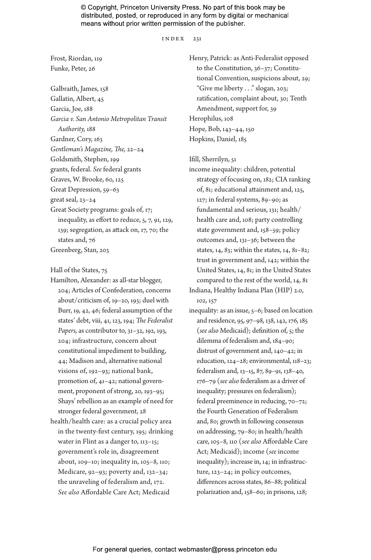#### index 231

Frost, Riordan, 119 Funke, Peter, 26

Galbraith, James, 158 Gallatin, Albert, 45 Garcia, Joe, 188 *Garcia v. San Antonio Metropolitan Transit Authority,* 188 Gardner, Cory, 163 *Gentleman's Magazine, The,* 22–24 Goldsmith, Stephen, 199 grants, federal. *See* federal grants Graves, W. Brooke, 60, 125 Great Depression, 59–63 great seal, 23–24 Great Society programs: goals of, 17; inequality, as effort to reduce, 5, 7, 91, 129, 139; segregation, as attack on, 17, 70; the states and, 76 Greenberg, Stan, 203

Hall of the States, 75

- Hamilton, Alexander: as all-star blogger, 204; Articles of Confederation, concerns about/criticism of, 19–20, 193; duel with Burr, 19, 42, 46; federal assumption of the states' debt, viii, 41, 123, 194; *The Federalist Papers,* as contributor to, 31–32, 192, 193, 204; infrastructure, concern about constitutional impediment to building, 44; Madison and, alternative national visions of, 192–93; national bank, promotion of, 41–42; national government, proponent of strong, 20, 193–95; Shays' rebellion as an example of need for stronger federal government, 28
- health/health care: as a crucial policy area in the twenty-first century, 195; drinking water in Flint as a danger to, 113–15; government's role in, disagreement about, 109–10; inequality in, 105–8, 110; Medicare, 92–93; poverty and, 132–34; the unraveling of federalism and, 172. *See also* Affordable Care Act; Medicaid

Henry, Patrick: as Anti-Federalist opposed to the Constitution, 36–37; Constitutional Convention, suspicions about, 29; "Give me liberty . . ." slogan, 203; ratification, complaint about, 30; Tenth Amendment, support for, 39 Herophilus, 108 Hope, Bob, 143–44, 150 Hopkins, Daniel, 185

Ifill, Sherrilyn, 51

income inequality: children, potential strategy of focusing on, 182; CIA ranking of, 81; educational attainment and, 125, 127; in federal systems, 89–90; as fundamental and serious, 131; health/ health care and, 108; party controlling state government and, 158–59; policy outcomes and, 131–36; between the states, 14, 83; within the states, 14, 81–82; trust in government and, 142; within the United States, 14, 81; in the United States compared to the rest of the world, 14, 81 Indiana, Healthy Indiana Plan (HIP) 2.0, 102, 157

inequality: as an issue, 5–6; based on location and residence, 95, 97–98, 138, 142, 176, 185 (*see also* Medicaid); definition of, 5; the dilemma of federalism and, 184–90; distrust of government and, 140–42; in education, 124–28; environmental, 118–23; federalism and, 13–15, 87, 89–91, 138–40, 176–79 (*see also* federalism as a driver of inequality; pressures on federalism); federal preeminence in reducing, 70–72; the Fourth Generation of Federalism and, 80; growth in following consensus on addressing, 79–80; in health/health care, 105–8, 110 (*see also* Affordable Care Act; Medicaid); income (*see* income inequality); increase in, 14; in infrastructure, 123–24; in policy outcomes, differences across states, 86–88; political polarization and, 158–60; in prisons, 128;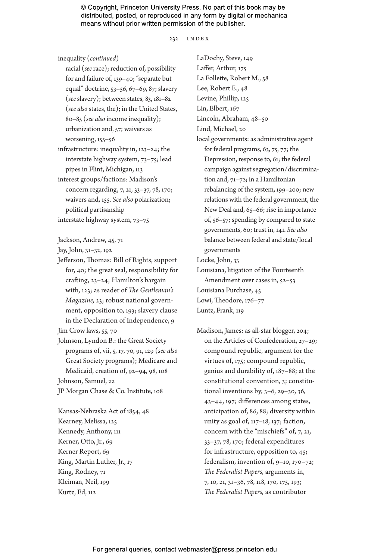232 index

inequality (*continued*)

racial (*see* race); reduction of, possibility for and failure of, 139–40; "separate but equal" doctrine, 53–56, 67–69, 87; slavery (*see* slavery); between states, 83, 181–82 (*see also* states, the); in the United States, 80–85 (*see also* income inequality); urbanization and, 57; waivers as worsening, 155–56

infrastructure: inequality in, 123–24; the interstate highway system, 73–75; lead pipes in Flint, Michigan, 113

interest groups/factions: Madison's concern regarding, 7, 21, 33–37, 78, 170; waivers and, 155. *See also* polarization; political partisanship

interstate highway system, 73–75

Jackson, Andrew, 45, 71

- Jay, John, 31–32, 192
- Jefferson, Thomas: Bill of Rights, support for, 40; the great seal, responsibility for crafting, 23–24; Hamilton's bargain with, 123; as reader of *The Gentleman's Magazine,* 23; robust national government, opposition to, 193; slavery clause in the Declaration of Independence, 9

Jim Crow laws, 55, 70

Johnson, Lyndon B.: the Great Society programs of, vii, 5, 17, 70, 91, 129 (*see also* Great Society programs); Medicare and Medicaid, creation of, 92–94, 98, 108

Johnson, Samuel, 22

JP Morgan Chase & Co. Institute, 108

Kansas-Nebraska Act of 1854, 48 Kearney, Melissa, 125 Kennedy, Anthony, 111 Kerner, Otto, Jr., 69 Kerner Report, 69 King, Martin Luther, Jr., 17 King, Rodney, 71 Kleiman, Neil, 199 Kurtz, Ed, 112

LaDochy, Steve, 149 Laffer, Arthur, 175 La Follette, Robert M., 58 Lee, Robert E., 48 Levine, Phillip, 125 Lin, Elbert, 167 Lincoln, Abraham, 48–50 Lind, Michael, 20 local governments: as administrative agent for federal programs, 63, 75, 77; the Depression, response to, 61; the federal campaign against segregation/discrimination and, 71–72; in a Hamiltonian rebalancing of the system, 199–200; new relations with the federal government, the New Deal and, 65–66; rise in importance of, 56–57; spending by compared to state governments, 60; trust in, 141. *See also* balance between federal and state/local governments Locke, John, 33 Louisiana, litigation of the Fourteenth Amendment over cases in, 52–53 Louisiana Purchase, 45

Lowi, Theodore, 176–77

Luntz, Frank, 119

Madison, James: as all-star blogger, 204; on the Articles of Confederation, 27–29; compound republic, argument for the virtues of, 175; compound republic, genius and durability of, 187–88; at the constitutional convention, 3; constitutional inventions by, 3–6, 29–30, 36, 43–44, 197; differences among states, anticipation of, 86, 88; diversity within unity as goal of, 117–18, 137; faction, concern with the "mischiefs" of, 7, 21, 33–37, 78, 170; federal expenditures for infrastructure, opposition to, 45; federalism, invention of, 9–10, 170–72; *The Federalist Papers,* arguments in, 7, 10, 21, 31–36, 78, 118, 170, 175, 193; *The Federalist Papers,* as contributor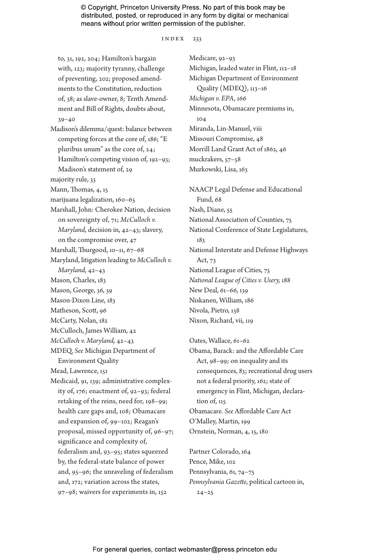$INDEX$  233

to, 31, 192, 204; Hamilton's bargain with, 123; majority tyranny, challenge of preventing, 202; proposed amendments to the Constitution, reduction of, 38; as slave-owner, 8; Tenth Amendment and Bill of Rights, doubts about, 39–40 Madison's dilemma/quest: balance between competing forces at the core of, 186; "E pluribus unum" as the core of, 24; Hamilton's competing vision of, 192–93; Madison's statement of, 29 majority rule, 33 Mann, Thomas, 4, 15 marijuana legalization, 160–65 Marshall, John: Cherokee Nation, decision on sovereignty of, 71; *McCulloch v. Maryland,* decision in, 42–43; slavery, on the compromise over, 47 Marshall, Thurgood, 10–11, 67–68 Maryland, litigation leading to *McCulloch v. Maryland,* 42–43 Mason, Charles, 183 Mason, George, 36, 39 Mason-Dixon Line, 183 Matheson, Scott, 96 McCarty, Nolan, 182 McCulloch, James William, 42 *McCulloch v. Maryland,* 42–43 MDEQ. *See* Michigan Department of Environment Quality Mead, Lawrence, 151 Medicaid, 91, 139; administrative complexity of, 176; enactment of, 92–93; federal retaking of the reins, need for, 198–99; health care gaps and, 108; Obamacare and expansion of, 99–102; Reagan's proposal, missed opportunity of, 96–97; significance and complexity of, federalism and, 93–95; states squeezed by, the federal-state balance of power and, 95–96; the unraveling of federalism and, 172; variation across the states, 97–98; waivers for experiments in, 152

Medicare, 92–93 Michigan, leaded water in Flint, 112–18 Michigan Department of Environment Quality (MDEQ), 113–16 *Michigan v. EPA,* 166 Minnesota, Obamacare premiums in, 104 Miranda, Lin-Manuel, viii Missouri Compromise, 48 Morrill Land Grant Act of 1862, 46 muckrakers, 57–58 Murkowski, Lisa, 163

NAACP Legal Defense and Educational Fund, 68 Nash, Diane, 55 National Association of Counties, 75 National Conference of State Legislatures, 183 National Interstate and Defense Highways Act, 73 National League of Cities, 75 *National League of Cities v. Usery,* 188 New Deal, 61–66, 139 Niskanen, William, 186 Nivola, Pietro, 138 Nixon, Richard, vii, 119

Oates, Wallace, 61–62 Obama, Barack: and the Affordable Care Act, 98–99; on inequality and its consequences, 83; recreational drug users not a federal priority, 162; state of emergency in Flint, Michigan, declaration of, 115 Obamacare. *See* Affordable Care Act O'Malley, Martin, 199 Ornstein, Norman, 4, 15, 180

Partner Colorado, 164 Pence, Mike, 102 Pennsylvania, 61, 74–75 *Pennsylvania Gazette,* political cartoon in,  $24 - 25$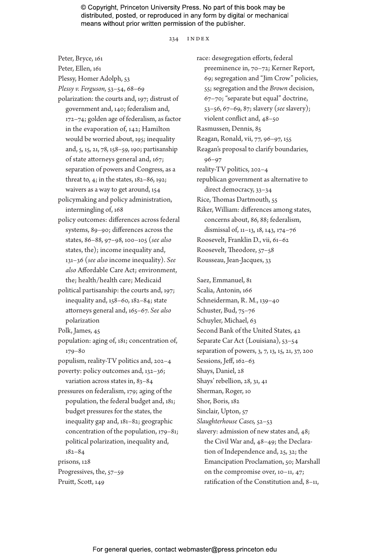#### 234 index

Peter, Bryce, 161 Peter, Ellen, 161 Plessy, Homer Adolph, 53 *Plessy v. Ferguson,* 53–54, 68–69 polarization: the courts and, 197; distrust of government and, 140; federalism and, 172–74; golden age of federalism, as factor in the evaporation of, 142; Hamilton would be worried about, 195; inequality and, 5, 15, 21, 78, 158–59, 190; partisanship of state attorneys general and, 167; separation of powers and Congress, as a threat to, 4; in the states, 182–86, 192; waivers as a way to get around, 154 policymaking and policy administration, intermingling of, 168 policy outcomes: differences across federal systems, 89–90; differences across the states, 86–88, 97–98, 100–105 (*see also* states, the); income inequality and, 131–36 (*see also* income inequality). *See also* Affordable Care Act; environment, the; health/health care; Medicaid political partisanship: the courts and, 197; inequality and, 158–60, 182–84; state attorneys general and, 165–67. *See also* polarization Polk, James, 45 population: aging of, 181; concentration of, 179–80 populism, reality-TV politics and, 202–4 poverty: policy outcomes and, 132–36; variation across states in, 83–84 pressures on federalism, 179; aging of the population, the federal budget and, 181; budget pressures for the states, the inequality gap and, 181–82; geographic concentration of the population, 179–81; political polarization, inequality and, 182–84 prisons, 128 Progressives, the, 57–59 Pruitt, Scott, 149

race: desegregation efforts, federal preeminence in, 70–72; Kerner Report, 69; segregation and "Jim Crow" policies, 55; segregation and the *Brown* decision, 67–70; "separate but equal" doctrine, 53–56, 67–69, 87; slavery (*see* slavery); violent conflict and, 48–50 Rasmussen, Dennis, 85 Reagan, Ronald, vii, 77, 96–97, 155 Reagan's proposal to clarify boundaries, 96–97 reality-TV politics, 202–4 republican government as alternative to direct democracy, 33–34 Rice, Thomas Dartmouth, 55 Riker, William: differences among states, concerns about, 86, 88; federalism, dismissal of, 11–13, 18, 143, 174–76 Roosevelt, Franklin D., vii, 61–62 Roosevelt, Theodore, 57–58 Rousseau, Jean-Jacques, 33

Saez, Emmanuel, 81 Scalia, Antonin, 166 Schneiderman, R. M., 139–40 Schuster, Bud, 75–76 Schuyler, Michael, 63 Second Bank of the United States, 42 Separate Car Act (Louisiana), 53–54 separation of powers, 3, 7, 13, 15, 21, 37, 200 Sessions, Jeff, 162–63 Shays, Daniel, 28 Shays' rebellion, 28, 31, 41 Sherman, Roger, 10 Shor, Boris, 182 Sinclair, Upton, 57 *Slaughterhouse Cases,* 52–53 slavery: admission of new states and, 48; the Civil War and, 48–49; the Declaration of Independence and, 25, 32; the Emancipation Proclamation, 50; Marshall on the compromise over, 10–11, 47; ratification of the Constitution and, 8–11,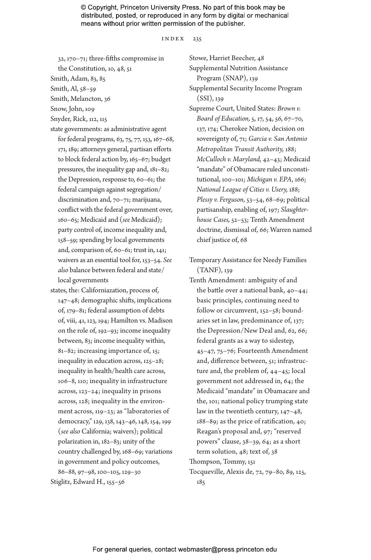#### index 235

32, 170–71; three-fifths compromise in

the Constitution, 10, 48, 51

Smith, Adam, 83, 85

Smith, Al, 58–59

Smith, Melancton, 36

Snow, John, 109

- Snyder, Rick, 112, 115
- state governments: as administrative agent for federal programs, 63, 75, 77, 153, 167–68, 171, 189; attorneys general, partisan efforts to block federal action by, 165–67; budget pressures, the inequality gap and, 181–82; the Depression, response to, 60–61; the federal campaign against segregation/ discrimination and, 70–71; marijuana, conflict with the federal government over, 160–65; Medicaid and (*see* Medicaid); party control of, income inequality and, 158–59; spending by local governments and, comparison of, 60–61; trust in, 141; waivers as an essential tool for, 153–54. *See also* balance between federal and state/ local governments
- states, the: Californiazation, process of, 147–48; demographic shifts, implications of, 179–81; federal assumption of debts of, viii, 41, 123, 194; Hamilton vs*.* Madison on the role of, 192–93; income inequality between, 83; income inequality within, 81–82; increasing importance of, 15; inequality in education across, 125–28; inequality in health/health care across, 106–8, 110; inequality in infrastructure across, 123–24; inequality in prisons across, 128; inequality in the environment across, 119–23; as "laboratories of democracy," 129, 138, 143–46, 148, 154, 199 (*see also* California; waivers); political polarization in, 182–83; unity of the country challenged by, 168–69; variations in government and policy outcomes, 86–88, 97–98, 100–105, 129–30 Stiglitz, Edward H., 155–56

Stowe, Harriet Beecher, 48

Supplemental Nutrition Assistance Program (SNAP), 139 Supplemental Security Income Program

(SSI), 139

- Supreme Court, United States: *Brown v. Board of Education,* 5, 17, 54, 56, 67–70, 137, 174; Cherokee Nation, decision on sovereignty of, 71; *Garcia v. San Antonio Metropolitan Transit Authority,* 188; *McCulloch v. Maryland,* 42–43; Medicaid "mandate" of Obamacare ruled unconstitutional, 100–101; *Michigan v. EPA,* 166; *National League of Cities v. Usery,* 188; *Plessy v. Ferguson,* 53–54, 68–69; political partisanship, enabling of, 197; *Slaughterhouse Cases,* 52–53; Tenth Amendment doctrine, dismissal of, 66; Warren named chief justice of, 68
- Temporary Assistance for Needy Families (TANF), 139
- Tenth Amendment: ambiguity of and the battle over a national bank, 40–44; basic principles, continuing need to follow or circumvent, 152–58; boundaries set in law, predominance of, 137; the Depression/New Deal and, 62, 66; federal grants as a way to sidestep, 45–47, 75–76; Fourteenth Amendment and, difference between, 51; infrastructure and, the problem of, 44–45; local government not addressed in, 64; the Medicaid "mandate" in Obamacare and the, 101; national policy trumping state law in the twentieth century, 147–48, 188–89; as the price of ratification, 40; Reagan's proposal and, 97; "reserved powers" clause, 38–39, 64; as a short term solution, 48; text of, 38
- Thompson, Tommy, 151
- Tocqueville, Alexis de, 72, 79–80, 89, 125, 185